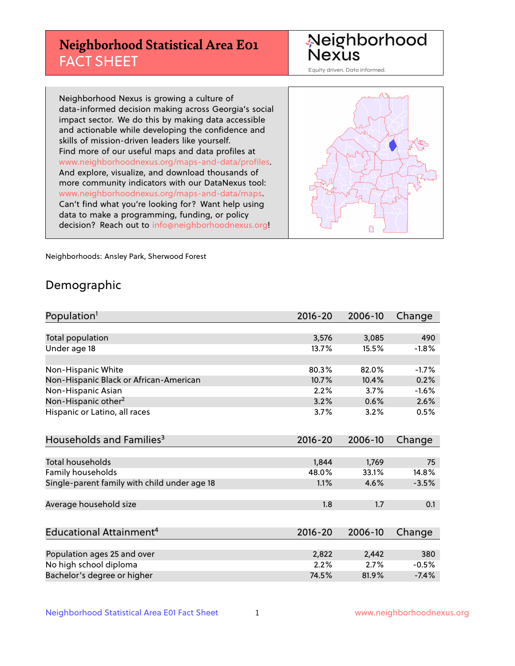## **Neighborhood Statistical Area E01** FACT SHEET

Neighborhood Nexus

Equity driven. Data informed.

Neighborhood Nexus is growing a culture of data-informed decision making across Georgia's social impact sector. We do this by making data accessible and actionable while developing the confidence and skills of mission-driven leaders like yourself. Find more of our useful maps and data profiles at www.neighborhoodnexus.org/maps-and-data/profiles. And explore, visualize, and download thousands of more community indicators with our DataNexus tool: www.neighborhoodnexus.org/maps-and-data/maps. Can't find what you're looking for? Want help using data to make a programming, funding, or policy decision? Reach out to [info@neighborhoodnexus.org!](mailto:info@neighborhoodnexus.org)



Neighborhoods: Ansley Park, Sherwood Forest

### Demographic

| Population <sup>1</sup>                      | $2016 - 20$ | 2006-10 | Change  |
|----------------------------------------------|-------------|---------|---------|
|                                              |             |         |         |
| <b>Total population</b>                      | 3,576       | 3,085   | 490     |
| Under age 18                                 | 13.7%       | 15.5%   | $-1.8%$ |
|                                              |             |         |         |
| Non-Hispanic White                           | 80.3%       | 82.0%   | $-1.7%$ |
| Non-Hispanic Black or African-American       | 10.7%       | 10.4%   | 0.2%    |
| Non-Hispanic Asian                           | 2.2%        | 3.7%    | $-1.6%$ |
| Non-Hispanic other <sup>2</sup>              | 3.2%        | 0.6%    | 2.6%    |
| Hispanic or Latino, all races                | 3.7%        | 3.2%    | 0.5%    |
|                                              |             |         |         |
| Households and Families <sup>3</sup>         | $2016 - 20$ | 2006-10 | Change  |
|                                              |             |         |         |
| Total households                             | 1,844       | 1,769   | 75      |
| Family households                            | 48.0%       | 33.1%   | 14.8%   |
| Single-parent family with child under age 18 | 1.1%        | 4.6%    | $-3.5%$ |
|                                              |             |         |         |
| Average household size                       | 1.8         | 1.7     | 0.1     |
|                                              |             |         |         |
| Educational Attainment <sup>4</sup>          | $2016 - 20$ | 2006-10 | Change  |
|                                              |             |         |         |
| Population ages 25 and over                  | 2,822       | 2,442   | 380     |
| No high school diploma                       | 2.2%        | 2.7%    | $-0.5%$ |
| Bachelor's degree or higher                  | 74.5%       | 81.9%   | $-7.4%$ |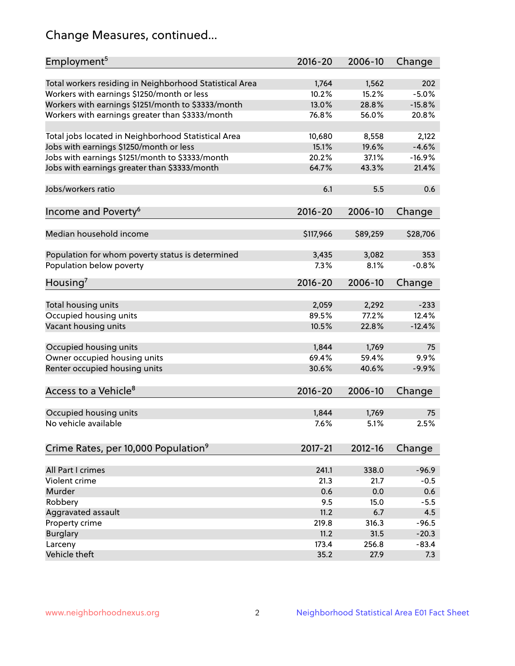## Change Measures, continued...

| Employment <sup>5</sup>                                                                               | $2016 - 20$    | 2006-10        | Change         |
|-------------------------------------------------------------------------------------------------------|----------------|----------------|----------------|
|                                                                                                       |                |                |                |
| Total workers residing in Neighborhood Statistical Area                                               | 1,764<br>10.2% | 1,562<br>15.2% | 202<br>$-5.0%$ |
| Workers with earnings \$1250/month or less                                                            | 13.0%          | 28.8%          | $-15.8%$       |
| Workers with earnings \$1251/month to \$3333/month<br>Workers with earnings greater than \$3333/month | 76.8%          | 56.0%          | 20.8%          |
|                                                                                                       |                |                |                |
| Total jobs located in Neighborhood Statistical Area                                                   | 10,680         | 8,558          | 2,122          |
| Jobs with earnings \$1250/month or less                                                               | 15.1%          | 19.6%          | $-4.6%$        |
| Jobs with earnings \$1251/month to \$3333/month                                                       | 20.2%          | 37.1%          | $-16.9%$       |
| Jobs with earnings greater than \$3333/month                                                          | 64.7%          | 43.3%          | 21.4%          |
|                                                                                                       |                |                |                |
| Jobs/workers ratio                                                                                    | 6.1            | 5.5            | 0.6            |
|                                                                                                       |                |                |                |
| Income and Poverty <sup>6</sup>                                                                       | 2016-20        | 2006-10        | Change         |
|                                                                                                       |                |                |                |
| Median household income                                                                               | \$117,966      | \$89,259       | \$28,706       |
|                                                                                                       |                |                |                |
| Population for whom poverty status is determined                                                      | 3,435          | 3,082          | 353            |
| Population below poverty                                                                              | 7.3%           | 8.1%           | $-0.8%$        |
|                                                                                                       |                |                |                |
| Housing <sup>7</sup>                                                                                  | $2016 - 20$    | 2006-10        | Change         |
|                                                                                                       |                |                |                |
| Total housing units                                                                                   | 2,059          | 2,292          | $-233$         |
| Occupied housing units                                                                                | 89.5%          | 77.2%          | 12.4%          |
| Vacant housing units                                                                                  | 10.5%          | 22.8%          | $-12.4%$       |
|                                                                                                       |                |                |                |
| Occupied housing units                                                                                | 1,844          | 1,769          | 75             |
| Owner occupied housing units                                                                          | 69.4%          | 59.4%          | 9.9%           |
| Renter occupied housing units                                                                         | 30.6%          | 40.6%          | $-9.9%$        |
|                                                                                                       |                |                |                |
| Access to a Vehicle <sup>8</sup>                                                                      | $2016 - 20$    | 2006-10        | Change         |
|                                                                                                       |                |                |                |
| Occupied housing units                                                                                | 1,844          | 1,769          | 75             |
| No vehicle available                                                                                  | 7.6%           | 5.1%           | 2.5%           |
|                                                                                                       |                |                |                |
| Crime Rates, per 10,000 Population <sup>9</sup>                                                       | 2017-21        | 2012-16        | Change         |
|                                                                                                       |                |                |                |
| All Part I crimes                                                                                     | 241.1          | 338.0          | $-96.9$        |
| Violent crime                                                                                         | 21.3           | 21.7           | $-0.5$         |
| Murder                                                                                                | 0.6            | 0.0            | 0.6            |
| Robbery                                                                                               | 9.5            | 15.0           | $-5.5$         |
| Aggravated assault                                                                                    | 11.2           | 6.7            | 4.5            |
| Property crime                                                                                        | 219.8          | 316.3          | $-96.5$        |
| <b>Burglary</b>                                                                                       | 11.2           | 31.5           | $-20.3$        |
| Larceny                                                                                               | 173.4          | 256.8          | $-83.4$        |
| Vehicle theft                                                                                         | 35.2           | 27.9           | 7.3            |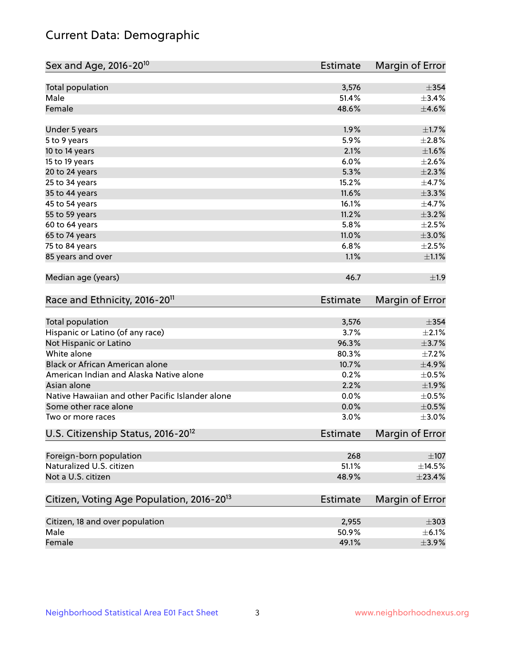## Current Data: Demographic

| Sex and Age, 2016-20 <sup>10</sup>                    | <b>Estimate</b> | Margin of Error |
|-------------------------------------------------------|-----------------|-----------------|
| Total population                                      | 3,576           | $\pm$ 354       |
| Male                                                  | 51.4%           | ±3.4%           |
| Female                                                | 48.6%           | $\pm 4.6\%$     |
| Under 5 years                                         | 1.9%            | $\pm1.7\%$      |
| 5 to 9 years                                          | 5.9%            | ±2.8%           |
| 10 to 14 years                                        | 2.1%            | $\pm1.6\%$      |
| 15 to 19 years                                        | 6.0%            | $\pm 2.6\%$     |
| 20 to 24 years                                        | 5.3%            | $\pm 2.3\%$     |
| 25 to 34 years                                        | 15.2%           | $\pm$ 4.7%      |
| 35 to 44 years                                        | 11.6%           | ±3.3%           |
| 45 to 54 years                                        | 16.1%           | $\pm$ 4.7%      |
| 55 to 59 years                                        | 11.2%           | $\pm$ 3.2%      |
| 60 to 64 years                                        | 5.8%            | $\pm 2.5\%$     |
| 65 to 74 years                                        | 11.0%           | $\pm 3.0\%$     |
| 75 to 84 years                                        | 6.8%            | $\pm 2.5\%$     |
| 85 years and over                                     | 1.1%            | $\pm 1.1\%$     |
| Median age (years)                                    | 46.7            | ±1.9            |
| Race and Ethnicity, 2016-20 <sup>11</sup>             | <b>Estimate</b> | Margin of Error |
| Total population                                      | 3,576           | $\pm$ 354       |
| Hispanic or Latino (of any race)                      | 3.7%            | $\pm 2.1\%$     |
| Not Hispanic or Latino                                | 96.3%           | $\pm$ 3.7%      |
| White alone                                           | 80.3%           | $\pm$ 7.2%      |
| Black or African American alone                       | 10.7%           | $\pm$ 4.9%      |
| American Indian and Alaska Native alone               | 0.2%            | $\pm$ 0.5%      |
| Asian alone                                           | 2.2%            | $\pm$ 1.9%      |
| Native Hawaiian and other Pacific Islander alone      | 0.0%            | $\pm$ 0.5%      |
| Some other race alone                                 | 0.0%            | $\pm$ 0.5%      |
| Two or more races                                     | 3.0%            | $\pm 3.0\%$     |
| U.S. Citizenship Status, 2016-20 <sup>12</sup>        | <b>Estimate</b> | Margin of Error |
| Foreign-born population                               | 268             | $\pm 107$       |
| Naturalized U.S. citizen                              | 51.1%           | $\pm$ 14.5%     |
| Not a U.S. citizen                                    | 48.9%           | ±23.4%          |
| Citizen, Voting Age Population, 2016-20 <sup>13</sup> | Estimate        | Margin of Error |
| Citizen, 18 and over population                       | 2,955           | $\pm 303$       |
| Male                                                  | 50.9%           | $\pm$ 6.1%      |
| Female                                                | 49.1%           | $\pm$ 3.9%      |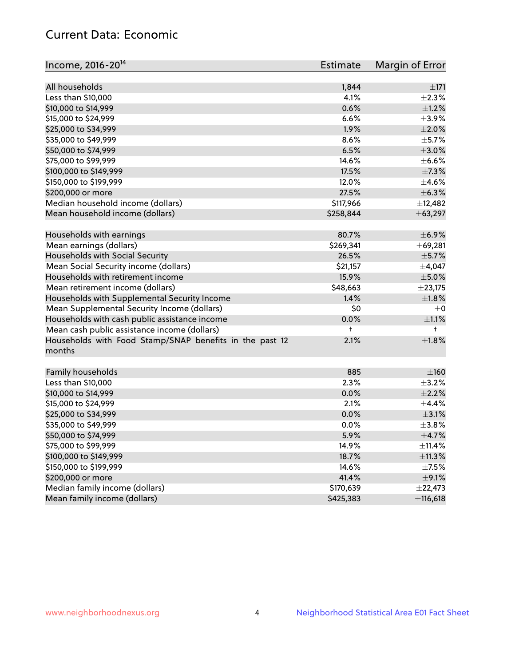## Current Data: Economic

| Income, 2016-20 <sup>14</sup>                                     | Estimate  | Margin of Error |
|-------------------------------------------------------------------|-----------|-----------------|
| All households                                                    | 1,844     | ±171            |
| Less than \$10,000                                                | 4.1%      | $\pm 2.3\%$     |
| \$10,000 to \$14,999                                              | 0.6%      | $\pm 1.2\%$     |
| \$15,000 to \$24,999                                              | 6.6%      | $\pm$ 3.9%      |
| \$25,000 to \$34,999                                              | 1.9%      | $\pm 2.0\%$     |
| \$35,000 to \$49,999                                              | 8.6%      | $\pm$ 5.7%      |
| \$50,000 to \$74,999                                              | 6.5%      | $\pm 3.0\%$     |
| \$75,000 to \$99,999                                              | 14.6%     | $\pm$ 6.6%      |
| \$100,000 to \$149,999                                            | 17.5%     | $\pm$ 7.3%      |
| \$150,000 to \$199,999                                            | 12.0%     | $\pm$ 4.6%      |
| \$200,000 or more                                                 | 27.5%     | $\pm$ 6.3%      |
| Median household income (dollars)                                 | \$117,966 | ±12,482         |
|                                                                   |           |                 |
| Mean household income (dollars)                                   | \$258,844 | ± 63,297        |
| Households with earnings                                          | 80.7%     | $\pm$ 6.9%      |
| Mean earnings (dollars)                                           | \$269,341 | ±69,281         |
| Households with Social Security                                   | 26.5%     | $\pm$ 5.7%      |
| Mean Social Security income (dollars)                             | \$21,157  | $\pm$ 4,047     |
| Households with retirement income                                 | 15.9%     | $\pm$ 5.0%      |
| Mean retirement income (dollars)                                  | \$48,663  | ±23,175         |
| Households with Supplemental Security Income                      | 1.4%      | $\pm 1.8\%$     |
| Mean Supplemental Security Income (dollars)                       | \$0       | $\pm$ 0         |
| Households with cash public assistance income                     | 0.0%      | $\pm 1.1\%$     |
| Mean cash public assistance income (dollars)                      | t         | $^+$            |
| Households with Food Stamp/SNAP benefits in the past 12<br>months | 2.1%      | $\pm1.8\%$      |
| Family households                                                 | 885       | $\pm 160$       |
| Less than \$10,000                                                | 2.3%      | $\pm$ 3.2%      |
| \$10,000 to \$14,999                                              | 0.0%      | $\pm 2.2\%$     |
| \$15,000 to \$24,999                                              | 2.1%      | ±4.4%           |
| \$25,000 to \$34,999                                              | 0.0%      | $\pm$ 3.1%      |
| \$35,000 to \$49,999                                              | 0.0%      | ±3.8%           |
| \$50,000 to \$74,999                                              | 5.9%      | $\pm$ 4.7%      |
| \$75,000 to \$99,999                                              | 14.9%     | ±11.4%          |
| \$100,000 to \$149,999                                            | 18.7%     | ±11.3%          |
| \$150,000 to \$199,999                                            | 14.6%     | $\pm$ 7.5%      |
| \$200,000 or more                                                 | 41.4%     | $\pm$ 9.1%      |
| Median family income (dollars)                                    | \$170,639 | ±22,473         |
| Mean family income (dollars)                                      | \$425,383 | ±116,618        |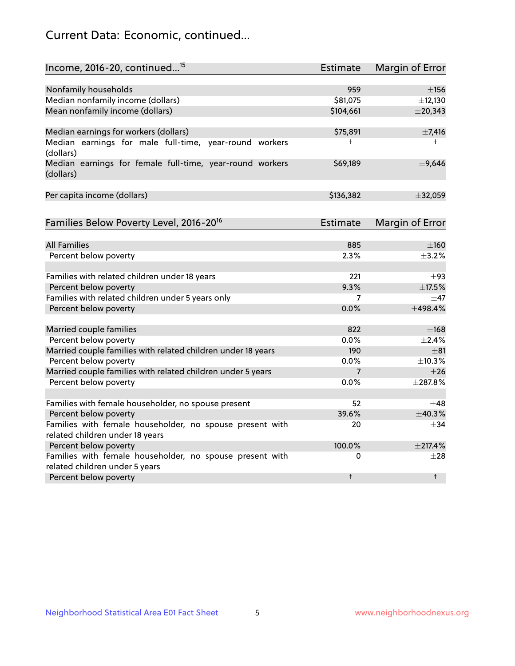## Current Data: Economic, continued...

| Income, 2016-20, continued <sup>15</sup>                              | <b>Estimate</b> | <b>Margin of Error</b> |
|-----------------------------------------------------------------------|-----------------|------------------------|
|                                                                       |                 |                        |
| Nonfamily households                                                  | 959             | $\pm$ 156              |
| Median nonfamily income (dollars)                                     | \$81,075        | ±12,130                |
| Mean nonfamily income (dollars)                                       | \$104,661       | $±$ 20,343             |
| Median earnings for workers (dollars)                                 | \$75,891        | $\pm$ 7,416            |
| Median earnings for male full-time, year-round workers<br>(dollars)   | ŧ               | $^+$                   |
| Median earnings for female full-time, year-round workers<br>(dollars) | \$69,189        | ±9,646                 |
| Per capita income (dollars)                                           | \$136,382       | ±32,059                |
| Families Below Poverty Level, 2016-20 <sup>16</sup>                   | <b>Estimate</b> | <b>Margin of Error</b> |
|                                                                       |                 |                        |
| <b>All Families</b>                                                   | 885             | $\pm 160$              |
| Percent below poverty                                                 | 2.3%            | $\pm$ 3.2%             |
| Families with related children under 18 years                         | 221             | $\pm$ 93               |
| Percent below poverty                                                 | 9.3%            | ±17.5%                 |
| Families with related children under 5 years only                     | 7               | $\pm$ 47               |
| Percent below poverty                                                 | 0.0%            | ±498.4%                |
| Married couple families                                               | 822             | $\pm$ 168              |
| Percent below poverty                                                 | 0.0%            | $\pm$ 2.4%             |
| Married couple families with related children under 18 years          | 190             | $\pm$ 81               |
| Percent below poverty                                                 | 0.0%            | $\pm$ 10.3%            |
| Married couple families with related children under 5 years           | $\overline{7}$  | $\pm 26$               |
| Percent below poverty                                                 | $0.0\%$         | ±287.8%                |
| Families with female householder, no spouse present                   | 52              | $\pm 48$               |
| Percent below poverty                                                 | 39.6%           | ±40.3%                 |
| Families with female householder, no spouse present with              | 20              | $+34$                  |
| related children under 18 years                                       |                 |                        |
| Percent below poverty                                                 | 100.0%          | $±$ 217.4%             |
| Families with female householder, no spouse present with              | 0               | $\pm 28$               |
| related children under 5 years                                        |                 |                        |
| Percent below poverty                                                 | t               | $\ddagger$             |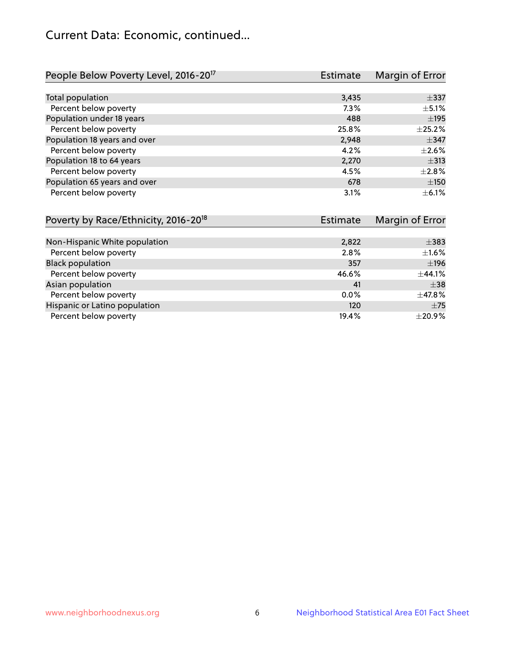## Current Data: Economic, continued...

| People Below Poverty Level, 2016-20 <sup>17</sup> | <b>Estimate</b> | Margin of Error |
|---------------------------------------------------|-----------------|-----------------|
|                                                   |                 |                 |
| Total population                                  | 3,435           | $\pm$ 337       |
| Percent below poverty                             | $7.3\%$         | $\pm$ 5.1%      |
| Population under 18 years                         | 488             | $\pm$ 195       |
| Percent below poverty                             | 25.8%           | $\pm 25.2\%$    |
| Population 18 years and over                      | 2,948           | $\pm$ 347       |
| Percent below poverty                             | 4.2%            | $\pm 2.6\%$     |
| Population 18 to 64 years                         | 2,270           | $\pm$ 313       |
| Percent below poverty                             | 4.5%            | $\pm 2.8\%$     |
| Population 65 years and over                      | 678             | ±150            |
| Percent below poverty                             | 3.1%            | $\pm$ 6.1%      |

| Poverty by Race/Ethnicity, 2016-20 <sup>18</sup><br>Estimate |         | Margin of Error |  |
|--------------------------------------------------------------|---------|-----------------|--|
|                                                              |         |                 |  |
| Non-Hispanic White population                                | 2,822   | $\pm$ 383       |  |
| Percent below poverty                                        | 2.8%    | $\pm$ 1.6%      |  |
| <b>Black population</b>                                      | 357     | ±196            |  |
| Percent below poverty                                        | 46.6%   | ±44.1%          |  |
| Asian population                                             | 41      | $\pm$ 38        |  |
| Percent below poverty                                        | $0.0\%$ | $\pm$ 47.8%     |  |
| Hispanic or Latino population                                | 120     | ±75             |  |
| Percent below poverty                                        | 19.4%   | $\pm 20.9\%$    |  |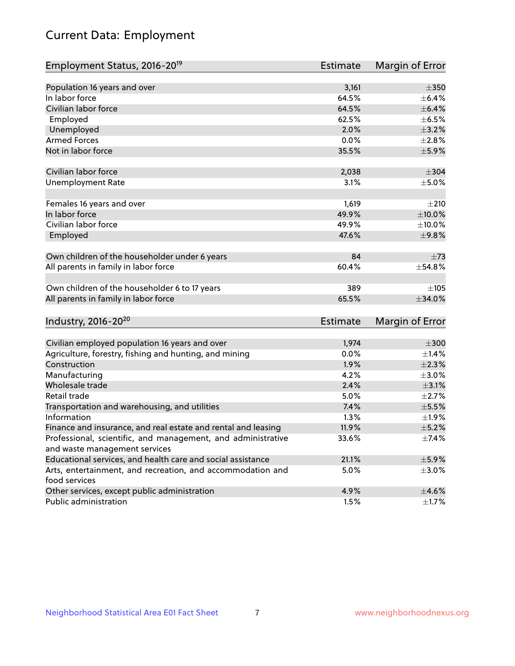# Current Data: Employment

| Employment Status, 2016-20 <sup>19</sup>                                    | Estimate        | Margin of Error |
|-----------------------------------------------------------------------------|-----------------|-----------------|
|                                                                             |                 |                 |
| Population 16 years and over                                                | 3,161           | $\pm 350$       |
| In labor force                                                              | 64.5%           | $\pm$ 6.4%      |
| Civilian labor force                                                        | 64.5%           | $\pm$ 6.4%      |
| Employed                                                                    | 62.5%           | $\pm$ 6.5%      |
| Unemployed                                                                  | 2.0%            | $\pm$ 3.2%      |
| <b>Armed Forces</b>                                                         | 0.0%            | $\pm 2.8\%$     |
| Not in labor force                                                          | 35.5%           | $\pm$ 5.9%      |
| Civilian labor force                                                        | 2,038           | $\pm$ 304       |
| <b>Unemployment Rate</b>                                                    | 3.1%            | $\pm$ 5.0%      |
| Females 16 years and over                                                   | 1,619           | ±210            |
| In labor force                                                              | 49.9%           | $\pm 10.0\%$    |
| Civilian labor force                                                        | 49.9%           | $\pm$ 10.0%     |
| Employed                                                                    | 47.6%           | ±9.8%           |
| Own children of the householder under 6 years                               | 84              | $\pm 73$        |
| All parents in family in labor force                                        | 60.4%           | ±54.8%          |
| Own children of the householder 6 to 17 years                               | 389             | ±105            |
| All parents in family in labor force                                        | 65.5%           | ±34.0%          |
| Industry, 2016-20 <sup>20</sup>                                             | <b>Estimate</b> | Margin of Error |
|                                                                             |                 |                 |
| Civilian employed population 16 years and over                              | 1,974           | $\pm 300$       |
| Agriculture, forestry, fishing and hunting, and mining                      | 0.0%            | $\pm$ 1.4%      |
| Construction                                                                | 1.9%            | $\pm 2.3\%$     |
| Manufacturing                                                               | 4.2%            | $\pm 3.0\%$     |
| Wholesale trade                                                             | 2.4%            | $\pm$ 3.1%      |
| Retail trade                                                                | 5.0%            | $\pm 2.7\%$     |
| Transportation and warehousing, and utilities                               | 7.4%            | $\pm$ 5.5%      |
| Information                                                                 | 1.3%            | ±1.9%           |
| Finance and insurance, and real estate and rental and leasing               | 11.9%           | $\pm$ 5.2%      |
| Professional, scientific, and management, and administrative                | 33.6%           | $\pm$ 7.4%      |
| and waste management services                                               |                 |                 |
| Educational services, and health care and social assistance                 | 21.1%           | $\pm$ 5.9%      |
| Arts, entertainment, and recreation, and accommodation and<br>food services | 5.0%            | $\pm$ 3.0%      |
| Other services, except public administration                                | 4.9%            | $\pm$ 4.6%      |
| Public administration                                                       | 1.5%            | $\pm$ 1.7%      |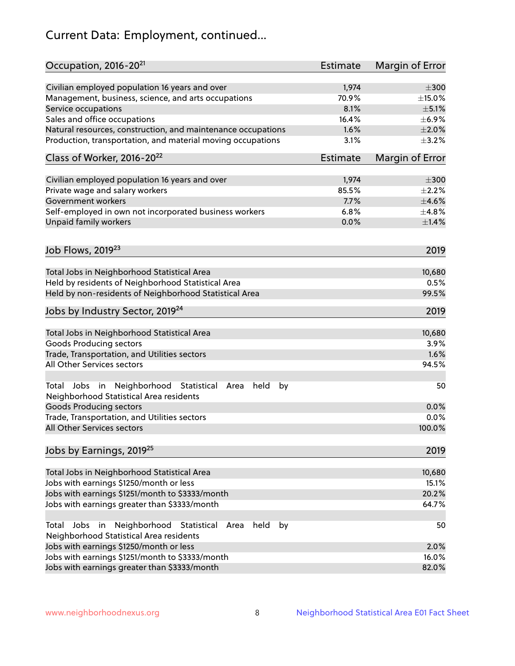# Current Data: Employment, continued...

| Occupation, 2016-20 <sup>21</sup>                                                                             | Estimate        | Margin of Error |
|---------------------------------------------------------------------------------------------------------------|-----------------|-----------------|
| Civilian employed population 16 years and over                                                                | 1,974           | $\pm 300$       |
| Management, business, science, and arts occupations                                                           | 70.9%           | ±15.0%          |
| Service occupations                                                                                           | 8.1%            | $\pm$ 5.1%      |
| Sales and office occupations                                                                                  | 16.4%           | $\pm$ 6.9%      |
| Natural resources, construction, and maintenance occupations                                                  | 1.6%            | $\pm 2.0\%$     |
| Production, transportation, and material moving occupations                                                   | 3.1%            | $\pm$ 3.2%      |
| Class of Worker, 2016-20 <sup>22</sup>                                                                        | <b>Estimate</b> | Margin of Error |
| Civilian employed population 16 years and over                                                                | 1,974           | $\pm 300$       |
| Private wage and salary workers                                                                               | 85.5%           | $\pm 2.2\%$     |
| Government workers                                                                                            | 7.7%            | $\pm 4.6\%$     |
| Self-employed in own not incorporated business workers                                                        | 6.8%            | ±4.8%           |
| Unpaid family workers                                                                                         | 0.0%            | $\pm1.4\%$      |
| Job Flows, 2019 <sup>23</sup>                                                                                 |                 | 2019            |
|                                                                                                               |                 |                 |
| Total Jobs in Neighborhood Statistical Area                                                                   |                 | 10,680          |
| Held by residents of Neighborhood Statistical Area                                                            |                 | 0.5%            |
| Held by non-residents of Neighborhood Statistical Area                                                        |                 | 99.5%           |
| Jobs by Industry Sector, 2019 <sup>24</sup>                                                                   |                 | 2019            |
| Total Jobs in Neighborhood Statistical Area                                                                   |                 | 10,680          |
| <b>Goods Producing sectors</b>                                                                                |                 | 3.9%            |
| Trade, Transportation, and Utilities sectors                                                                  |                 | 1.6%            |
| All Other Services sectors                                                                                    |                 | 94.5%           |
| Total Jobs in Neighborhood Statistical<br>held<br>Area<br>by<br>Neighborhood Statistical Area residents       |                 | 50              |
| <b>Goods Producing sectors</b>                                                                                |                 | 0.0%            |
| Trade, Transportation, and Utilities sectors                                                                  |                 | 0.0%            |
| All Other Services sectors                                                                                    |                 | 100.0%          |
| Jobs by Earnings, 2019 <sup>25</sup>                                                                          |                 | 2019            |
| Total Jobs in Neighborhood Statistical Area                                                                   |                 | 10,680          |
| Jobs with earnings \$1250/month or less                                                                       |                 | 15.1%           |
| Jobs with earnings \$1251/month to \$3333/month                                                               |                 | 20.2%           |
| Jobs with earnings greater than \$3333/month                                                                  |                 | 64.7%           |
| Neighborhood Statistical<br>Total Jobs<br>in<br>Area<br>held<br>by<br>Neighborhood Statistical Area residents |                 | 50              |
| Jobs with earnings \$1250/month or less                                                                       |                 | 2.0%            |
| Jobs with earnings \$1251/month to \$3333/month                                                               |                 | 16.0%           |
| Jobs with earnings greater than \$3333/month                                                                  |                 | 82.0%           |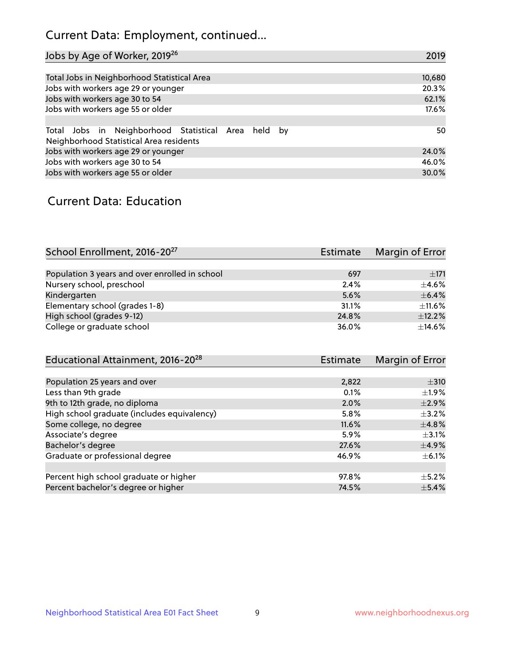## Current Data: Employment, continued...

| Jobs by Age of Worker, 2019 <sup>26</sup>                                                      | 2019   |
|------------------------------------------------------------------------------------------------|--------|
|                                                                                                |        |
| Total Jobs in Neighborhood Statistical Area                                                    | 10,680 |
| Jobs with workers age 29 or younger                                                            | 20.3%  |
| Jobs with workers age 30 to 54                                                                 | 62.1%  |
| Jobs with workers age 55 or older                                                              | 17.6%  |
|                                                                                                |        |
| Total Jobs in Neighborhood Statistical Area held by<br>Neighborhood Statistical Area residents | 50     |
| Jobs with workers age 29 or younger                                                            | 24.0%  |
| Jobs with workers age 30 to 54                                                                 | 46.0%  |
| Jobs with workers age 55 or older                                                              | 30.0%  |

### Current Data: Education

| School Enrollment, 2016-20 <sup>27</sup>       | Estimate | Margin of Error |
|------------------------------------------------|----------|-----------------|
|                                                |          |                 |
| Population 3 years and over enrolled in school | 697      | ±171            |
| Nursery school, preschool                      | 2.4%     | $+4.6%$         |
| Kindergarten                                   | 5.6%     | $\pm$ 6.4%      |
| Elementary school (grades 1-8)                 | 31.1%    | $\pm$ 11.6%     |
| High school (grades 9-12)                      | 24.8%    | $\pm$ 12.2%     |
| College or graduate school                     | 36.0%    | $\pm$ 14.6%     |

| Educational Attainment, 2016-20 <sup>28</sup> | <b>Estimate</b> | Margin of Error |
|-----------------------------------------------|-----------------|-----------------|
|                                               |                 |                 |
| Population 25 years and over                  | 2,822           | $\pm$ 310       |
| Less than 9th grade                           | 0.1%            | $\pm 1.9\%$     |
| 9th to 12th grade, no diploma                 | 2.0%            | $\pm 2.9\%$     |
| High school graduate (includes equivalency)   | 5.8%            | $\pm$ 3.2%      |
| Some college, no degree                       | 11.6%           | $\pm$ 4.8%      |
| Associate's degree                            | 5.9%            | $\pm$ 3.1%      |
| Bachelor's degree                             | 27.6%           | $\pm$ 4.9%      |
| Graduate or professional degree               | 46.9%           | $\pm$ 6.1%      |
|                                               |                 |                 |
| Percent high school graduate or higher        | 97.8%           | $+5.2%$         |
| Percent bachelor's degree or higher           | 74.5%           | $\pm$ 5.4%      |
|                                               |                 |                 |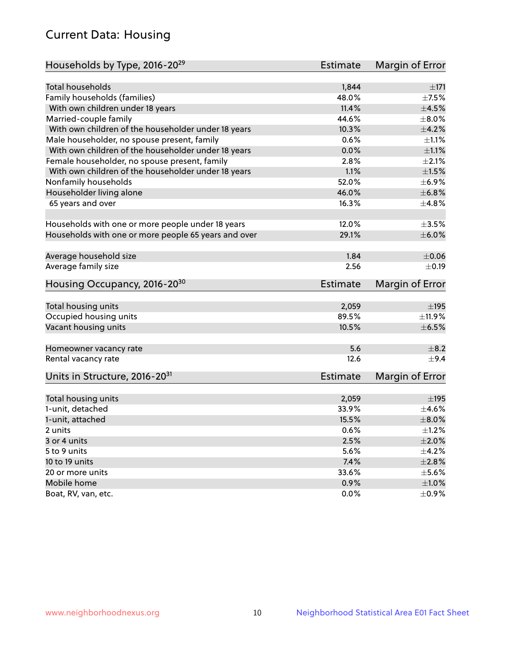## Current Data: Housing

| Households by Type, 2016-20 <sup>29</sup>            | <b>Estimate</b> | Margin of Error |
|------------------------------------------------------|-----------------|-----------------|
|                                                      |                 |                 |
| Total households                                     | 1,844           | $\pm$ 171       |
| Family households (families)                         | 48.0%           | $\pm$ 7.5%      |
| With own children under 18 years                     | 11.4%           | $\pm 4.5\%$     |
| Married-couple family                                | 44.6%           | $\pm$ 8.0%      |
| With own children of the householder under 18 years  | 10.3%           | $\pm 4.2\%$     |
| Male householder, no spouse present, family          | 0.6%            | $\pm 1.1\%$     |
| With own children of the householder under 18 years  | 0.0%            | $\pm 1.1\%$     |
| Female householder, no spouse present, family        | 2.8%            | $\pm 2.1\%$     |
| With own children of the householder under 18 years  | 1.1%            | $\pm1.5\%$      |
| Nonfamily households                                 | 52.0%           | $\pm$ 6.9%      |
| Householder living alone                             | 46.0%           | ±6.8%           |
| 65 years and over                                    | 16.3%           | $\pm$ 4.8%      |
| Households with one or more people under 18 years    | 12.0%           | $\pm 3.5\%$     |
| Households with one or more people 65 years and over | 29.1%           | $\pm$ 6.0%      |
|                                                      |                 |                 |
| Average household size                               | 1.84            | $\pm$ 0.06      |
| Average family size                                  | 2.56            | $\pm$ 0.19      |
| Housing Occupancy, 2016-20 <sup>30</sup>             | <b>Estimate</b> | Margin of Error |
| Total housing units                                  | 2,059           | $\pm$ 195       |
| Occupied housing units                               | 89.5%           | ±11.9%          |
| Vacant housing units                                 | 10.5%           | $\pm$ 6.5%      |
|                                                      |                 |                 |
| Homeowner vacancy rate                               | 5.6             | $\pm$ 8.2       |
| Rental vacancy rate                                  | 12.6            | $+9.4$          |
| Units in Structure, 2016-20 <sup>31</sup>            | Estimate        | Margin of Error |
| Total housing units                                  | 2,059           | $\pm$ 195       |
| 1-unit, detached                                     | 33.9%           | $\pm 4.6\%$     |
|                                                      | 15.5%           | $\pm$ 8.0%      |
| 1-unit, attached                                     |                 | $\pm 1.2\%$     |
| 2 units                                              | 0.6%            |                 |
| 3 or 4 units                                         | 2.5%            | $\pm 2.0\%$     |
| 5 to 9 units                                         | 5.6%            | $\pm$ 4.2%      |
| 10 to 19 units                                       | 7.4%            | ±2.8%           |
| 20 or more units                                     | 33.6%           | $\pm$ 5.6%      |
| Mobile home                                          | 0.9%            | $\pm1.0\%$      |
| Boat, RV, van, etc.                                  | $0.0\%$         | $\pm$ 0.9%      |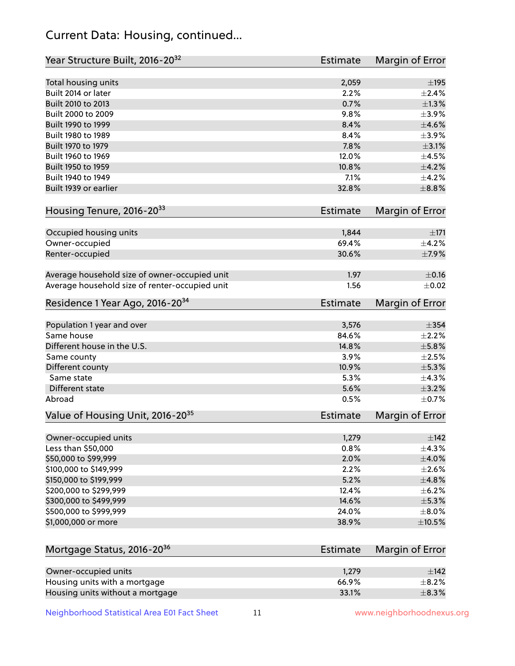## Current Data: Housing, continued...

| Year Structure Built, 2016-20 <sup>32</sup>    | <b>Estimate</b> | <b>Margin of Error</b> |
|------------------------------------------------|-----------------|------------------------|
| Total housing units                            | 2,059           | ±195                   |
| Built 2014 or later                            | 2.2%            | $\pm 2.4\%$            |
| Built 2010 to 2013                             | 0.7%            | ±1.3%                  |
| Built 2000 to 2009                             | 9.8%            | $\pm$ 3.9%             |
| Built 1990 to 1999                             | 8.4%            | $\pm$ 4.6%             |
| Built 1980 to 1989                             | 8.4%            | $\pm$ 3.9%             |
| Built 1970 to 1979                             | 7.8%            | $\pm$ 3.1%             |
| Built 1960 to 1969                             | 12.0%           | $\pm 4.5\%$            |
| Built 1950 to 1959                             | 10.8%           | $\pm$ 4.2%             |
| Built 1940 to 1949                             | 7.1%            | $\pm$ 4.2%             |
| Built 1939 or earlier                          | 32.8%           | $\pm$ 8.8%             |
|                                                |                 |                        |
| Housing Tenure, 2016-2033                      | Estimate        | <b>Margin of Error</b> |
| Occupied housing units                         | 1,844           | $\pm 171$              |
| Owner-occupied                                 | 69.4%           | $\pm$ 4.2%             |
| Renter-occupied                                | 30.6%           | $\pm$ 7.9%             |
| Average household size of owner-occupied unit  | 1.97            | $\pm$ 0.16             |
| Average household size of renter-occupied unit | 1.56            | $\pm$ 0.02             |
| Residence 1 Year Ago, 2016-20 <sup>34</sup>    | Estimate        | <b>Margin of Error</b> |
| Population 1 year and over                     | 3,576           | $\pm$ 354              |
| Same house                                     | 84.6%           | $\pm 2.2\%$            |
| Different house in the U.S.                    | 14.8%           | $\pm$ 5.8%             |
| Same county                                    | 3.9%            | $\pm 2.5\%$            |
| Different county                               | 10.9%           | $\pm$ 5.3%             |
| Same state                                     | 5.3%            | ±4.3%                  |
| Different state                                | 5.6%            | $\pm$ 3.2%             |
| Abroad                                         | 0.5%            | $\pm$ 0.7%             |
| Value of Housing Unit, 2016-20 <sup>35</sup>   | <b>Estimate</b> | Margin of Error        |
| Owner-occupied units                           | 1,279           | $\pm$ 142              |
| Less than \$50,000                             | 0.8%            | ±4.3%                  |
| \$50,000 to \$99,999                           | 2.0%            | $\pm 4.0\%$            |
| \$100,000 to \$149,999                         | 2.2%            | $\pm 2.6\%$            |
| \$150,000 to \$199,999                         | 5.2%            | ±4.8%                  |
| \$200,000 to \$299,999                         | 12.4%           | $\pm$ 6.2%             |
| \$300,000 to \$499,999                         | 14.6%           | $\pm$ 5.3%             |
| \$500,000 to \$999,999                         | 24.0%           | $\pm$ 8.0%             |
| \$1,000,000 or more                            | 38.9%           | $\pm$ 10.5%            |
| Mortgage Status, 2016-20 <sup>36</sup>         | <b>Estimate</b> | Margin of Error        |
|                                                |                 |                        |
| Owner-occupied units                           | 1,279           | $\pm$ 142              |
| Housing units with a mortgage                  | 66.9%           | $\pm$ 8.2%             |

Housing units without a mortgage  $\pm 8.3\%$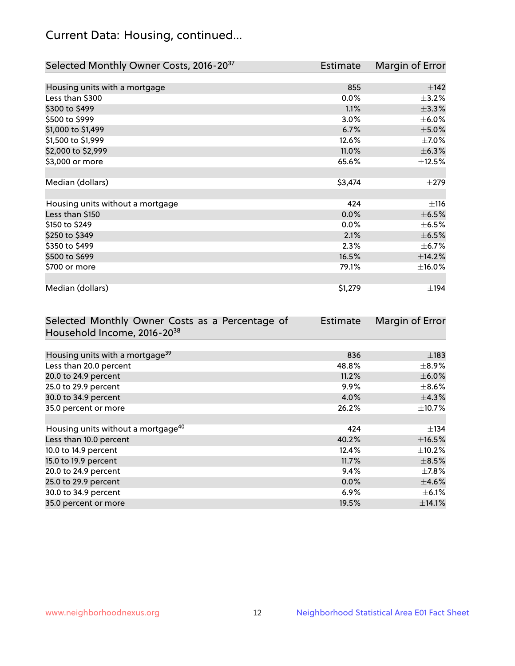## Current Data: Housing, continued...

| Selected Monthly Owner Costs, 2016-20 <sup>37</sup> | Estimate | Margin of Error |
|-----------------------------------------------------|----------|-----------------|
|                                                     |          |                 |
| Housing units with a mortgage                       | 855      | ±142            |
| Less than \$300                                     | 0.0%     | $\pm$ 3.2%      |
| \$300 to \$499                                      | 1.1%     | ±3.3%           |
| \$500 to \$999                                      | 3.0%     | $\pm$ 6.0%      |
| \$1,000 to \$1,499                                  | 6.7%     | $\pm$ 5.0%      |
| \$1,500 to \$1,999                                  | 12.6%    | $\pm$ 7.0%      |
| \$2,000 to \$2,999                                  | 11.0%    | ±6.3%           |
| \$3,000 or more                                     | 65.6%    | $\pm$ 12.5%     |
|                                                     |          |                 |
| Median (dollars)                                    | \$3,474  | $\pm 279$       |
|                                                     |          |                 |
| Housing units without a mortgage                    | 424      | ±116            |
| Less than \$150                                     | 0.0%     | $\pm$ 6.5%      |
| \$150 to \$249                                      | $0.0\%$  | $\pm$ 6.5%      |
| \$250 to \$349                                      | 2.1%     | $\pm$ 6.5%      |
| \$350 to \$499                                      | 2.3%     | $\pm$ 6.7%      |
| \$500 to \$699                                      | 16.5%    | ±14.2%          |
| \$700 or more                                       | 79.1%    | $\pm$ 16.0%     |
|                                                     |          |                 |
| Median (dollars)                                    | \$1,279  | $\pm$ 194       |

| Selected Monthly Owner Costs as a Percentage of | <b>Estimate</b> | Margin of Error |
|-------------------------------------------------|-----------------|-----------------|
| Household Income, 2016-20 <sup>38</sup>         |                 |                 |
|                                                 |                 |                 |
| Housing units with a mortgage <sup>39</sup>     | 836             | $\pm$ 183       |
| Less than 20.0 percent                          | 48.8%           | $\pm$ 8.9%      |
| 20.0 to 24.9 percent                            | 11.2%           | $\pm$ 6.0%      |
| 25.0 to 29.9 percent                            | 9.9%            | $\pm$ 8.6%      |
| 30.0 to 34.9 percent                            | 4.0%            | $\pm$ 4.3%      |
| 35.0 percent or more                            | 26.2%           | $\pm$ 10.7%     |
|                                                 |                 |                 |
| Housing units without a mortgage <sup>40</sup>  | 424             | $\pm$ 134       |
| Less than 10.0 percent                          | 40.2%           | ±16.5%          |
| 10.0 to 14.9 percent                            | 12.4%           | $\pm$ 10.2%     |
| 15.0 to 19.9 percent                            | 11.7%           | $\pm$ 8.5%      |
| 20.0 to 24.9 percent                            | 9.4%            | $\pm$ 7.8%      |
| 25.0 to 29.9 percent                            | 0.0%            | $\pm$ 4.6%      |
| 30.0 to 34.9 percent                            | $6.9\%$         | $\pm$ 6.1%      |
| 35.0 percent or more                            | 19.5%           | ±14.1%          |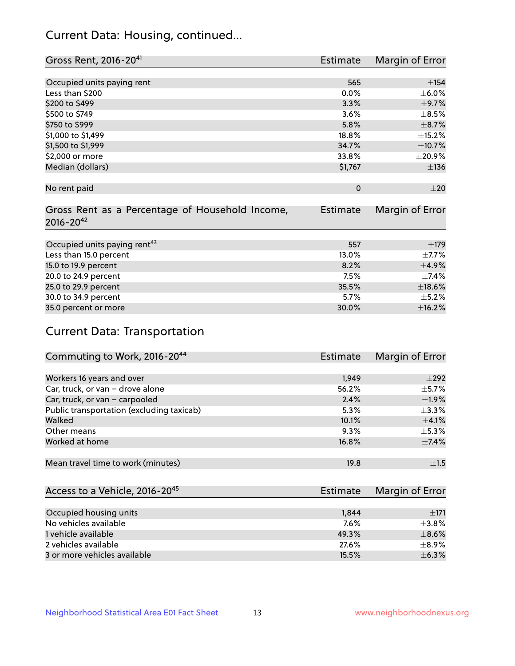## Current Data: Housing, continued...

| Gross Rent, 2016-20 <sup>41</sup>               | <b>Estimate</b> | Margin of Error |
|-------------------------------------------------|-----------------|-----------------|
|                                                 |                 |                 |
| Occupied units paying rent                      | 565             | $\pm$ 154       |
| Less than \$200                                 | 0.0%            | $\pm$ 6.0%      |
| \$200 to \$499                                  | 3.3%            | $\pm$ 9.7%      |
| \$500 to \$749                                  | 3.6%            | $\pm$ 8.5%      |
| \$750 to \$999                                  | 5.8%            | $\pm$ 8.7%      |
| \$1,000 to \$1,499                              | 18.8%           | ±15.2%          |
| \$1,500 to \$1,999                              | 34.7%           | ±10.7%          |
| \$2,000 or more                                 | 33.8%           | $\pm 20.9\%$    |
| Median (dollars)                                | \$1,767         | $\pm$ 136       |
|                                                 |                 |                 |
| No rent paid                                    | $\Omega$        | $\pm 20$        |
|                                                 |                 |                 |
| Gross Rent as a Percentage of Household Income, | <b>Estimate</b> | Margin of Error |
| $2016 - 20^{42}$                                |                 |                 |
|                                                 |                 |                 |
| Occupied units paying rent <sup>43</sup>        | 557             | $\pm$ 179       |
| Less than 15.0 percent                          | 13.0%           | $\pm$ 7.7%      |
| 15.0 to 19.9 percent                            | 8.2%            | $\pm$ 4.9%      |
| 20.0 to 24.9 percent                            | 7.5%            | ±7.4%           |
| 25.0 to 29.9 percent                            | 35.5%           | $\pm$ 18.6%     |
| 30.0 to 34.9 percent                            | 5.7%            | $\pm$ 5.2%      |
| 35.0 percent or more                            | 30.0%           | ±16.2%          |

# Current Data: Transportation

| Commuting to Work, 2016-20 <sup>44</sup>  | Estimate | Margin of Error |
|-------------------------------------------|----------|-----------------|
|                                           |          |                 |
| Workers 16 years and over                 | 1,949    | $\pm 292$       |
| Car, truck, or van - drove alone          | 56.2%    | $\pm$ 5.7%      |
| Car, truck, or van - carpooled            | 2.4%     | $\pm$ 1.9%      |
| Public transportation (excluding taxicab) | 5.3%     | $\pm$ 3.3%      |
| Walked                                    | 10.1%    | $\pm$ 4.1%      |
| Other means                               | 9.3%     | $\pm$ 5.3%      |
| Worked at home                            | 16.8%    | $\pm$ 7.4%      |
|                                           |          |                 |
| Mean travel time to work (minutes)        | 19.8     | ±1.5            |

| Access to a Vehicle, 2016-20 <sup>45</sup> | <b>Estimate</b> | Margin of Error |
|--------------------------------------------|-----------------|-----------------|
|                                            |                 |                 |
| Occupied housing units                     | 1,844           | $\pm 171$       |
| No vehicles available                      | 7.6%            | $\pm$ 3.8%      |
| 1 vehicle available                        | 49.3%           | $\pm$ 8.6%      |
| 2 vehicles available                       | 27.6%           | ±8.9%           |
| 3 or more vehicles available               | 15.5%           | $+6.3%$         |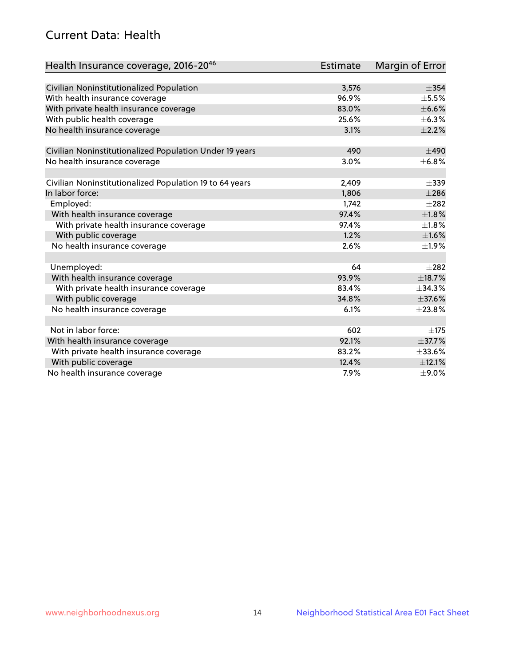## Current Data: Health

| Health Insurance coverage, 2016-2046                    | <b>Estimate</b> | Margin of Error |
|---------------------------------------------------------|-----------------|-----------------|
|                                                         |                 |                 |
| Civilian Noninstitutionalized Population                | 3,576           | $\pm$ 354       |
| With health insurance coverage                          | 96.9%           | $\pm$ 5.5%      |
| With private health insurance coverage                  | 83.0%           | $\pm$ 6.6%      |
| With public health coverage                             | 25.6%           | $\pm$ 6.3%      |
| No health insurance coverage                            | 3.1%            | $\pm 2.2\%$     |
| Civilian Noninstitutionalized Population Under 19 years | 490             | $\pm 490$       |
| No health insurance coverage                            | 3.0%            | ±6.8%           |
|                                                         |                 |                 |
| Civilian Noninstitutionalized Population 19 to 64 years | 2,409           | $\pm$ 339       |
| In labor force:                                         | 1,806           | $\pm 286$       |
| Employed:                                               | 1,742           | $\pm 282$       |
| With health insurance coverage                          | 97.4%           | $\pm1.8\%$      |
| With private health insurance coverage                  | 97.4%           | $\pm 1.8\%$     |
| With public coverage                                    | 1.2%            | $\pm1.6\%$      |
| No health insurance coverage                            | 2.6%            | $\pm 1.9\%$     |
| Unemployed:                                             | 64              | $+282$          |
| With health insurance coverage                          | 93.9%           | ±18.7%          |
| With private health insurance coverage                  | 83.4%           | $\pm$ 34.3%     |
| With public coverage                                    | 34.8%           | ±37.6%          |
| No health insurance coverage                            | 6.1%            | ±23.8%          |
|                                                         |                 |                 |
| Not in labor force:                                     | 602             | $\pm 175$       |
| With health insurance coverage                          | 92.1%           | $\pm$ 37.7%     |
| With private health insurance coverage                  | 83.2%           | ±33.6%          |
| With public coverage                                    | 12.4%           | $\pm$ 12.1%     |
| No health insurance coverage                            | 7.9%            | $\pm$ 9.0%      |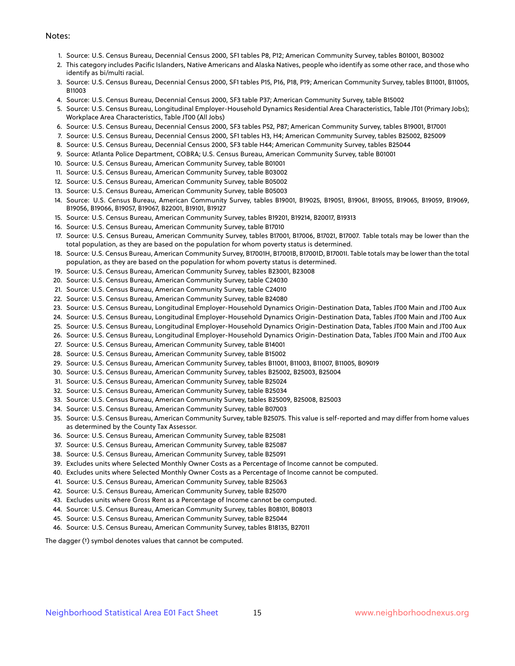#### Notes:

- 1. Source: U.S. Census Bureau, Decennial Census 2000, SF1 tables P8, P12; American Community Survey, tables B01001, B03002
- 2. This category includes Pacific Islanders, Native Americans and Alaska Natives, people who identify as some other race, and those who identify as bi/multi racial.
- 3. Source: U.S. Census Bureau, Decennial Census 2000, SF1 tables P15, P16, P18, P19; American Community Survey, tables B11001, B11005, B11003
- 4. Source: U.S. Census Bureau, Decennial Census 2000, SF3 table P37; American Community Survey, table B15002
- 5. Source: U.S. Census Bureau, Longitudinal Employer-Household Dynamics Residential Area Characteristics, Table JT01 (Primary Jobs); Workplace Area Characteristics, Table JT00 (All Jobs)
- 6. Source: U.S. Census Bureau, Decennial Census 2000, SF3 tables P52, P87; American Community Survey, tables B19001, B17001
- 7. Source: U.S. Census Bureau, Decennial Census 2000, SF1 tables H3, H4; American Community Survey, tables B25002, B25009
- 8. Source: U.S. Census Bureau, Decennial Census 2000, SF3 table H44; American Community Survey, tables B25044
- 9. Source: Atlanta Police Department, COBRA; U.S. Census Bureau, American Community Survey, table B01001
- 10. Source: U.S. Census Bureau, American Community Survey, table B01001
- 11. Source: U.S. Census Bureau, American Community Survey, table B03002
- 12. Source: U.S. Census Bureau, American Community Survey, table B05002
- 13. Source: U.S. Census Bureau, American Community Survey, table B05003
- 14. Source: U.S. Census Bureau, American Community Survey, tables B19001, B19025, B19051, B19061, B19055, B19065, B19059, B19069, B19056, B19066, B19057, B19067, B22001, B19101, B19127
- 15. Source: U.S. Census Bureau, American Community Survey, tables B19201, B19214, B20017, B19313
- 16. Source: U.S. Census Bureau, American Community Survey, table B17010
- 17. Source: U.S. Census Bureau, American Community Survey, tables B17001, B17006, B17021, B17007. Table totals may be lower than the total population, as they are based on the population for whom poverty status is determined.
- 18. Source: U.S. Census Bureau, American Community Survey, B17001H, B17001B, B17001D, B17001I. Table totals may be lower than the total population, as they are based on the population for whom poverty status is determined.
- 19. Source: U.S. Census Bureau, American Community Survey, tables B23001, B23008
- 20. Source: U.S. Census Bureau, American Community Survey, table C24030
- 21. Source: U.S. Census Bureau, American Community Survey, table C24010
- 22. Source: U.S. Census Bureau, American Community Survey, table B24080
- 23. Source: U.S. Census Bureau, Longitudinal Employer-Household Dynamics Origin-Destination Data, Tables JT00 Main and JT00 Aux
- 24. Source: U.S. Census Bureau, Longitudinal Employer-Household Dynamics Origin-Destination Data, Tables JT00 Main and JT00 Aux
- 25. Source: U.S. Census Bureau, Longitudinal Employer-Household Dynamics Origin-Destination Data, Tables JT00 Main and JT00 Aux
- 26. Source: U.S. Census Bureau, Longitudinal Employer-Household Dynamics Origin-Destination Data, Tables JT00 Main and JT00 Aux
- 27. Source: U.S. Census Bureau, American Community Survey, table B14001
- 28. Source: U.S. Census Bureau, American Community Survey, table B15002
- 29. Source: U.S. Census Bureau, American Community Survey, tables B11001, B11003, B11007, B11005, B09019
- 30. Source: U.S. Census Bureau, American Community Survey, tables B25002, B25003, B25004
- 31. Source: U.S. Census Bureau, American Community Survey, table B25024
- 32. Source: U.S. Census Bureau, American Community Survey, table B25034
- 33. Source: U.S. Census Bureau, American Community Survey, tables B25009, B25008, B25003
- 34. Source: U.S. Census Bureau, American Community Survey, table B07003
- 35. Source: U.S. Census Bureau, American Community Survey, table B25075. This value is self-reported and may differ from home values as determined by the County Tax Assessor.
- 36. Source: U.S. Census Bureau, American Community Survey, table B25081
- 37. Source: U.S. Census Bureau, American Community Survey, table B25087
- 38. Source: U.S. Census Bureau, American Community Survey, table B25091
- 39. Excludes units where Selected Monthly Owner Costs as a Percentage of Income cannot be computed.
- 40. Excludes units where Selected Monthly Owner Costs as a Percentage of Income cannot be computed.
- 41. Source: U.S. Census Bureau, American Community Survey, table B25063
- 42. Source: U.S. Census Bureau, American Community Survey, table B25070
- 43. Excludes units where Gross Rent as a Percentage of Income cannot be computed.
- 44. Source: U.S. Census Bureau, American Community Survey, tables B08101, B08013
- 45. Source: U.S. Census Bureau, American Community Survey, table B25044
- 46. Source: U.S. Census Bureau, American Community Survey, tables B18135, B27011

The dagger (†) symbol denotes values that cannot be computed.